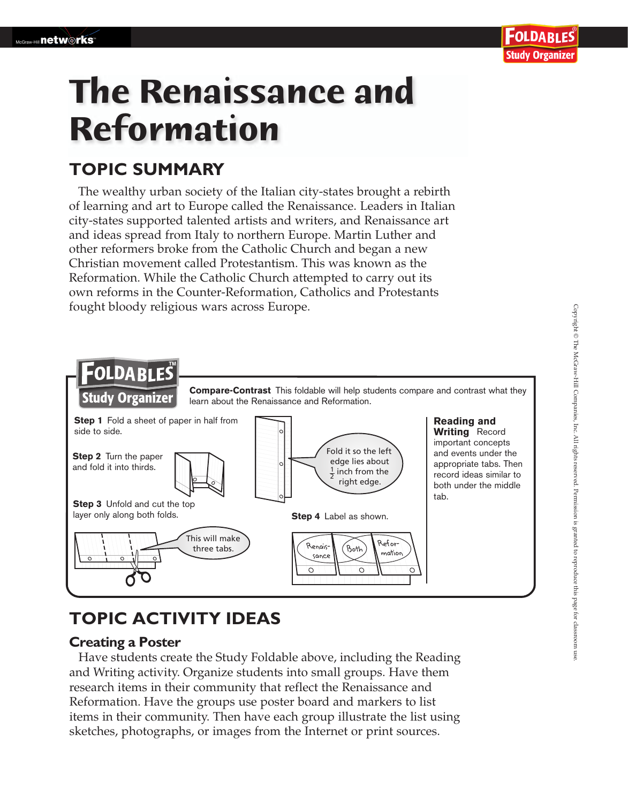## 'OLDA RI ES **Study Organizer**

# **The Renaissance and Reformation**

# **TOPIC SUMMARY**

The wealthy urban society of the Italian city-states brought a rebirth of learning and art to Europe called the Renaissance. Leaders in Italian city-states supported talented artists and writers, and Renaissance art and ideas spread from Italy to northern Europe. Martin Luther and other reformers broke from the Catholic Church and began a new Christian movement called Protestantism. This was known as the Reformation. While the Catholic Church attempted to carry out its own reforms in the Counter-Reformation, Catholics and Protestants fought bloody religious wars across Europe.



# **TOPIC ACTIVITY IDEAS**

#### **Creating a Poster**

 Have students create the Study Foldable above, including the Reading and Writing activity. Organize students into small groups. Have them research items in their community that reflect the Renaissance and Reformation. Have the groups use poster board and markers to list items in their community. Then have each group illustrate the list using sketches, photographs, or images from the Internet or print sources.